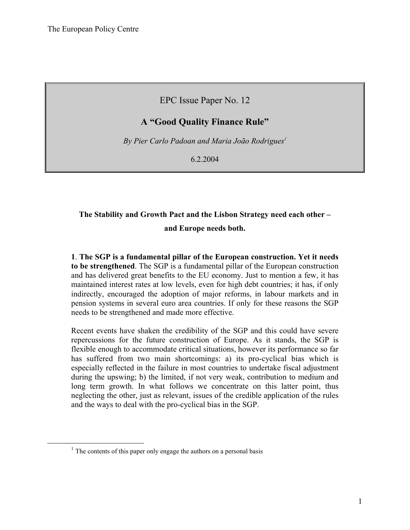EPC Issue Paper No. 12

## **A "Good Quality Finance Rule"**

*By Pier Carlo Padoan and Maria João Rodrigues1*

6.2.2004

# **The Stability and Growth Pact and the Lisbon Strategy need each other – and Europe needs both.**

**1**. **The SGP is a fundamental pillar of the European construction. Yet it needs to be strengthened**. The SGP is a fundamental pillar of the European construction and has delivered great benefits to the EU economy. Just to mention a few, it has maintained interest rates at low levels, even for high debt countries; it has, if only indirectly, encouraged the adoption of major reforms, in labour markets and in pension systems in several euro area countries. If only for these reasons the SGP needs to be strengthened and made more effective.

Recent events have shaken the credibility of the SGP and this could have severe repercussions for the future construction of Europe. As it stands, the SGP is flexible enough to accommodate critical situations, however its performance so far has suffered from two main shortcomings: a) its pro-cyclical bias which is especially reflected in the failure in most countries to undertake fiscal adjustment during the upswing; b) the limited, if not very weak, contribution to medium and long term growth. In what follows we concentrate on this latter point, thus neglecting the other, just as relevant, issues of the credible application of the rules and the ways to deal with the pro-cyclical bias in the SGP.

 $1$  The contents of this paper only engage the authors on a personal basis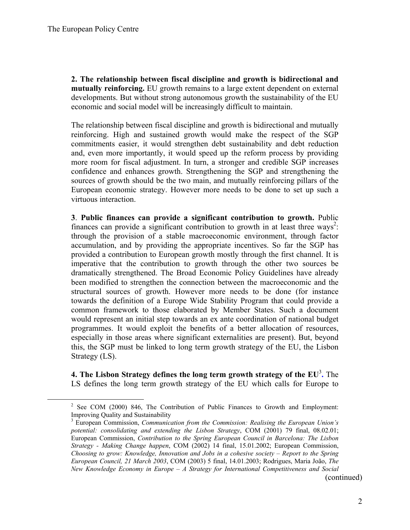**2. The relationship between fiscal discipline and growth is bidirectional and mutually reinforcing.** EU growth remains to a large extent dependent on external developments. But without strong autonomous growth the sustainability of the EU economic and social model will be increasingly difficult to maintain.

The relationship between fiscal discipline and growth is bidirectional and mutually reinforcing. High and sustained growth would make the respect of the SGP commitments easier, it would strengthen debt sustainability and debt reduction and, even more importantly, it would speed up the reform process by providing more room for fiscal adjustment. In turn, a stronger and credible SGP increases confidence and enhances growth. Strengthening the SGP and strengthening the sources of growth should be the two main, and mutually reinforcing pillars of the European economic strategy. However more needs to be done to set up such a virtuous interaction.

**3**. **Public finances can provide a significant contribution to growth.** Public finances can provide a significant contribution to growth in at least three ways<sup>2</sup>: through the provision of a stable macroeconomic environment, through factor accumulation, and by providing the appropriate incentives. So far the SGP has provided a contribution to European growth mostly through the first channel. It is imperative that the contribution to growth through the other two sources be dramatically strengthened. The Broad Economic Policy Guidelines have already been modified to strengthen the connection between the macroeconomic and the structural sources of growth. However more needs to be done (for instance towards the definition of a Europe Wide Stability Program that could provide a common framework to those elaborated by Member States. Such a document would represent an initial step towards an ex ante coordination of national budget programmes. It would exploit the benefits of a better allocation of resources, especially in those areas where significant externalities are present). But, beyond this, the SGP must be linked to long term growth strategy of the EU, the Lisbon Strategy (LS).

**4. The Lisbon Strategy defines the long term growth strategy of the EU**<sup>3</sup> **.** The LS defines the long term growth strategy of the EU which calls for Europe to

(continued)

 $\frac{1}{2}$  $<sup>2</sup>$  See COM (2000) 846, The Contribution of Public Finances to Growth and Employment:</sup> Improving Quality and Sustainability

<sup>3</sup> European Commission, *Communication from the Commission: Realising the European Union's potential: consolidating and extending the Lisbon Strategy*, COM (2001) 79 final, 08.02.01; European Commission, *Contribution to the Spring European Council in Barcelona: The Lisbon Strategy - Making Change happen*, COM (2002) 14 final, 15.01.2002; European Commission, *Choosing to grow: Knowledge, Innovation and Jobs in a cohesive society – Report to the Spring European Council, 21 March 2003*, COM (2003) 5 final, 14.01.2003; Rodrigues, Maria João, *The New Knowledge Economy in Europe – A Strategy for International Competitiveness and Social*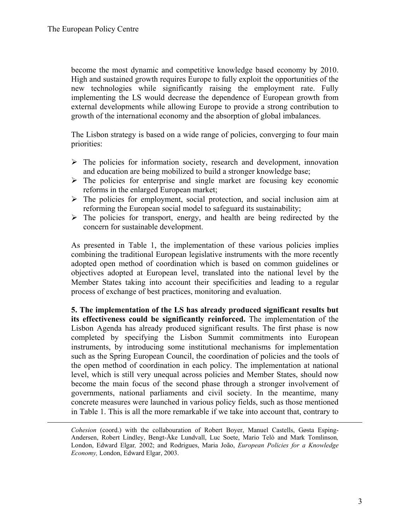$\overline{a}$ 

become the most dynamic and competitive knowledge based economy by 2010. High and sustained growth requires Europe to fully exploit the opportunities of the new technologies while significantly raising the employment rate. Fully implementing the LS would decrease the dependence of European growth from external developments while allowing Europe to provide a strong contribution to growth of the international economy and the absorption of global imbalances.

The Lisbon strategy is based on a wide range of policies, converging to four main priorities:

- $\triangleright$  The policies for information society, research and development, innovation and education are being mobilized to build a stronger knowledge base;
- $\triangleright$  The policies for enterprise and single market are focusing key economic reforms in the enlarged European market;
- $\triangleright$  The policies for employment, social protection, and social inclusion aim at reforming the European social model to safeguard its sustainability;
- $\triangleright$  The policies for transport, energy, and health are being redirected by the concern for sustainable development.

As presented in Table 1, the implementation of these various policies implies combining the traditional European legislative instruments with the more recently adopted open method of coordination which is based on common guidelines or objectives adopted at European level, translated into the national level by the Member States taking into account their specificities and leading to a regular process of exchange of best practices, monitoring and evaluation.

**5. The implementation of the LS has already produced significant results but its effectiveness could be significantly reinforced.** The implementation of the Lisbon Agenda has already produced significant results. The first phase is now completed by specifying the Lisbon Summit commitments into European instruments, by introducing some institutional mechanisms for implementation such as the Spring European Council, the coordination of policies and the tools of the open method of coordination in each policy. The implementation at national level, which is still very unequal across policies and Member States, should now become the main focus of the second phase through a stronger involvement of governments, national parliaments and civil society. In the meantime, many concrete measures were launched in various policy fields, such as those mentioned in Table 1. This is all the more remarkable if we take into account that, contrary to

*Cohesion* (coord.) with the collabouration of Robert Boyer, Manuel Castells, Gøsta Esping-Andersen, Robert Lindley, Bengt-Åke Lundvall, Luc Soete, Mario Telò and Mark Tomlinson*,* London, Edward Elgar*,* 2002; and Rodrigues, Maria João, *European Policies for a Knowledge Economy,* London, Edward Elgar, 2003.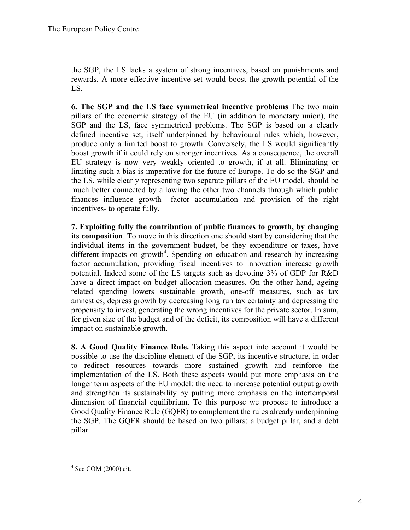the SGP, the LS lacks a system of strong incentives, based on punishments and rewards. A more effective incentive set would boost the growth potential of the LS.

**6. The SGP and the LS face symmetrical incentive problems** The two main pillars of the economic strategy of the EU (in addition to monetary union), the SGP and the LS, face symmetrical problems. The SGP is based on a clearly defined incentive set, itself underpinned by behavioural rules which, however, produce only a limited boost to growth. Conversely, the LS would significantly boost growth if it could rely on stronger incentives. As a consequence, the overall EU strategy is now very weakly oriented to growth, if at all. Eliminating or limiting such a bias is imperative for the future of Europe. To do so the SGP and the LS, while clearly representing two separate pillars of the EU model, should be much better connected by allowing the other two channels through which public finances influence growth –factor accumulation and provision of the right incentives- to operate fully.

**7. Exploiting fully the contribution of public finances to growth, by changing its composition**. To move in this direction one should start by considering that the individual items in the government budget, be they expenditure or taxes, have different impacts on growth<sup>4</sup>. Spending on education and research by increasing factor accumulation, providing fiscal incentives to innovation increase growth potential. Indeed some of the LS targets such as devoting 3% of GDP for R&D have a direct impact on budget allocation measures. On the other hand, ageing related spending lowers sustainable growth, one-off measures, such as tax amnesties, depress growth by decreasing long run tax certainty and depressing the propensity to invest, generating the wrong incentives for the private sector. In sum, for given size of the budget and of the deficit, its composition will have a different impact on sustainable growth.

**8. A Good Quality Finance Rule.** Taking this aspect into account it would be possible to use the discipline element of the SGP, its incentive structure, in order to redirect resources towards more sustained growth and reinforce the implementation of the LS. Both these aspects would put more emphasis on the longer term aspects of the EU model: the need to increase potential output growth and strengthen its sustainability by putting more emphasis on the intertemporal dimension of financial equilibrium. To this purpose we propose to introduce a Good Quality Finance Rule (GQFR) to complement the rules already underpinning the SGP. The GQFR should be based on two pillars: a budget pillar, and a debt pillar.

 $\frac{1}{4}$  $4$  See COM (2000) cit.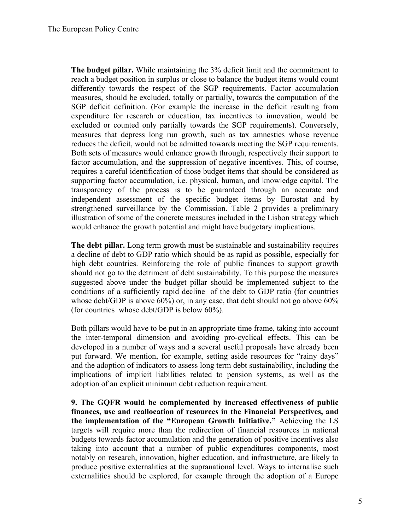**The budget pillar.** While maintaining the 3% deficit limit and the commitment to reach a budget position in surplus or close to balance the budget items would count differently towards the respect of the SGP requirements. Factor accumulation measures, should be excluded, totally or partially, towards the computation of the SGP deficit definition. (For example the increase in the deficit resulting from expenditure for research or education, tax incentives to innovation, would be excluded or counted only partially towards the SGP requirements). Conversely, measures that depress long run growth, such as tax amnesties whose revenue reduces the deficit, would not be admitted towards meeting the SGP requirements. Both sets of measures would enhance growth through, respectively their support to factor accumulation, and the suppression of negative incentives. This, of course, requires a careful identification of those budget items that should be considered as supporting factor accumulation, i.e. physical, human, and knowledge capital. The transparency of the process is to be guaranteed through an accurate and independent assessment of the specific budget items by Eurostat and by strengthened surveillance by the Commission. Table 2 provides a preliminary illustration of some of the concrete measures included in the Lisbon strategy which would enhance the growth potential and might have budgetary implications.

**The debt pillar.** Long term growth must be sustainable and sustainability requires a decline of debt to GDP ratio which should be as rapid as possible, especially for high debt countries. Reinforcing the role of public finances to support growth should not go to the detriment of debt sustainability. To this purpose the measures suggested above under the budget pillar should be implemented subject to the conditions of a sufficiently rapid decline of the debt to GDP ratio (for countries whose debt/GDP is above 60%) or, in any case, that debt should not go above 60% (for countries whose debt/GDP is below 60%).

Both pillars would have to be put in an appropriate time frame, taking into account the inter-temporal dimension and avoiding pro-cyclical effects. This can be developed in a number of ways and a several useful proposals have already been put forward. We mention, for example, setting aside resources for "rainy days" and the adoption of indicators to assess long term debt sustainability, including the implications of implicit liabilities related to pension systems, as well as the adoption of an explicit minimum debt reduction requirement.

**9. The GQFR would be complemented by increased effectiveness of public finances, use and reallocation of resources in the Financial Perspectives, and the implementation of the "European Growth Initiative."** Achieving the LS targets will require more than the redirection of financial resources in national budgets towards factor accumulation and the generation of positive incentives also taking into account that a number of public expenditures components, most notably on research, innovation, higher education, and infrastructure, are likely to produce positive externalities at the supranational level. Ways to internalise such externalities should be explored, for example through the adoption of a Europe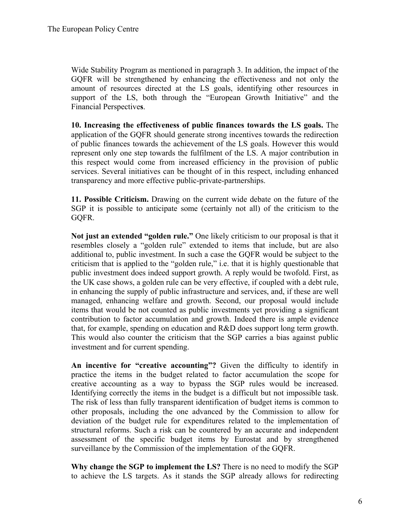Wide Stability Program as mentioned in paragraph 3. In addition, the impact of the GQFR will be strengthened by enhancing the effectiveness and not only the amount of resources directed at the LS goals, identifying other resources in support of the LS, both through the "European Growth Initiative" and the Financial Perspective**s**.

**10. Increasing the effectiveness of public finances towards the LS goals.** The application of the GQFR should generate strong incentives towards the redirection of public finances towards the achievement of the LS goals. However this would represent only one step towards the fulfilment of the LS. A major contribution in this respect would come from increased efficiency in the provision of public services. Several initiatives can be thought of in this respect, including enhanced transparency and more effective public-private-partnerships.

**11. Possible Criticism.** Drawing on the current wide debate on the future of the SGP it is possible to anticipate some (certainly not all) of the criticism to the GQFR.

**Not just an extended "golden rule."** One likely criticism to our proposal is that it resembles closely a "golden rule" extended to items that include, but are also additional to, public investment. In such a case the GQFR would be subject to the criticism that is applied to the "golden rule," i.e. that it is highly questionable that public investment does indeed support growth. A reply would be twofold. First, as the UK case shows, a golden rule can be very effective, if coupled with a debt rule, in enhancing the supply of public infrastructure and services, and, if these are well managed, enhancing welfare and growth. Second, our proposal would include items that would be not counted as public investments yet providing a significant contribution to factor accumulation and growth. Indeed there is ample evidence that, for example, spending on education and R&D does support long term growth. This would also counter the criticism that the SGP carries a bias against public investment and for current spending.

**An incentive for "creative accounting"?** Given the difficulty to identify in practice the items in the budget related to factor accumulation the scope for creative accounting as a way to bypass the SGP rules would be increased. Identifying correctly the items in the budget is a difficult but not impossible task. The risk of less than fully transparent identification of budget items is common to other proposals, including the one advanced by the Commission to allow for deviation of the budget rule for expenditures related to the implementation of structural reforms. Such a risk can be countered by an accurate and independent assessment of the specific budget items by Eurostat and by strengthened surveillance by the Commission of the implementation of the GQFR.

**Why change the SGP to implement the LS?** There is no need to modify the SGP to achieve the LS targets. As it stands the SGP already allows for redirecting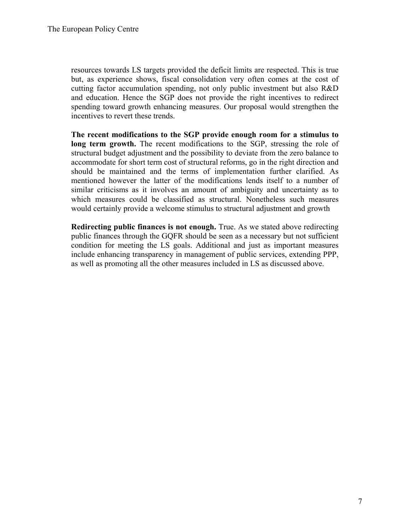resources towards LS targets provided the deficit limits are respected. This is true but, as experience shows, fiscal consolidation very often comes at the cost of cutting factor accumulation spending, not only public investment but also R&D and education. Hence the SGP does not provide the right incentives to redirect spending toward growth enhancing measures. Our proposal would strengthen the incentives to revert these trends.

**The recent modifications to the SGP provide enough room for a stimulus to long term growth.** The recent modifications to the SGP, stressing the role of structural budget adjustment and the possibility to deviate from the zero balance to accommodate for short term cost of structural reforms, go in the right direction and should be maintained and the terms of implementation further clarified. As mentioned however the latter of the modifications lends itself to a number of similar criticisms as it involves an amount of ambiguity and uncertainty as to which measures could be classified as structural. Nonetheless such measures would certainly provide a welcome stimulus to structural adjustment and growth

**Redirecting public finances is not enough.** True. As we stated above redirecting public finances through the GQFR should be seen as a necessary but not sufficient condition for meeting the LS goals. Additional and just as important measures include enhancing transparency in management of public services, extending PPP, as well as promoting all the other measures included in LS as discussed above.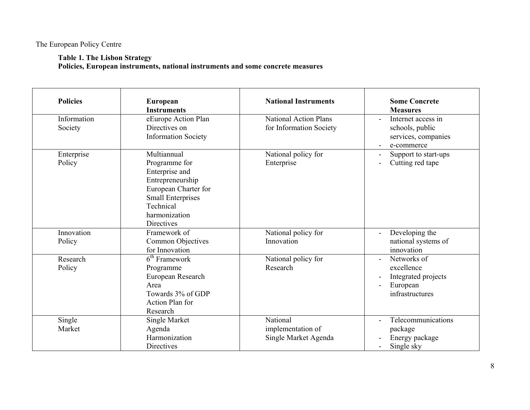**Table 1. The Lisbon Strategy** 

**Policies, European instruments, national instruments and some concrete measures** 

| <b>Policies</b>        | European<br><b>Instruments</b>                                                                                                                                     | <b>National Instruments</b>                             | <b>Some Concrete</b><br><b>Measures</b>                                         |
|------------------------|--------------------------------------------------------------------------------------------------------------------------------------------------------------------|---------------------------------------------------------|---------------------------------------------------------------------------------|
| Information<br>Society | eEurope Action Plan<br>Directives on<br><b>Information Society</b>                                                                                                 | <b>National Action Plans</b><br>for Information Society | Internet access in<br>schools, public<br>services, companies<br>e-commerce      |
| Enterprise<br>Policy   | Multiannual<br>Programme for<br>Enterprise and<br>Entrepreneurship<br>European Charter for<br><b>Small Enterprises</b><br>Technical<br>harmonization<br>Directives | National policy for<br>Enterprise                       | Support to start-ups<br>Cutting red tape                                        |
| Innovation<br>Policy   | Framework of<br>Common Objectives<br>for Innovation                                                                                                                | National policy for<br>Innovation                       | Developing the<br>national systems of<br>innovation                             |
| Research<br>Policy     | $6th$ Framework<br>Programme<br>European Research<br>Area<br>Towards 3% of GDP<br>Action Plan for<br>Research                                                      | National policy for<br>Research                         | Networks of<br>excellence<br>Integrated projects<br>European<br>infrastructures |
| Single<br>Market       | Single Market<br>Agenda<br>Harmonization<br>Directives                                                                                                             | National<br>implementation of<br>Single Market Agenda   | Telecommunications<br>package<br>Energy package<br>Single sky                   |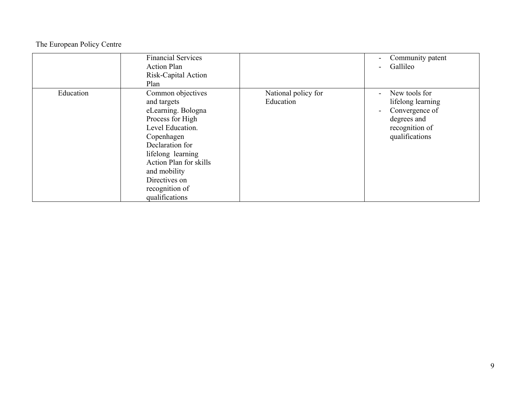|           | <b>Financial Services</b><br><b>Action Plan</b><br>Risk-Capital Action<br>Plan                                                                                                                                                                      |                                  | Community patent<br>Gallileo                                                                            |
|-----------|-----------------------------------------------------------------------------------------------------------------------------------------------------------------------------------------------------------------------------------------------------|----------------------------------|---------------------------------------------------------------------------------------------------------|
| Education | Common objectives<br>and targets<br>eLearning. Bologna<br>Process for High<br>Level Education.<br>Copenhagen<br>Declaration for<br>lifelong learning<br>Action Plan for skills<br>and mobility<br>Directives on<br>recognition of<br>qualifications | National policy for<br>Education | New tools for<br>lifelong learning<br>Convergence of<br>degrees and<br>recognition of<br>qualifications |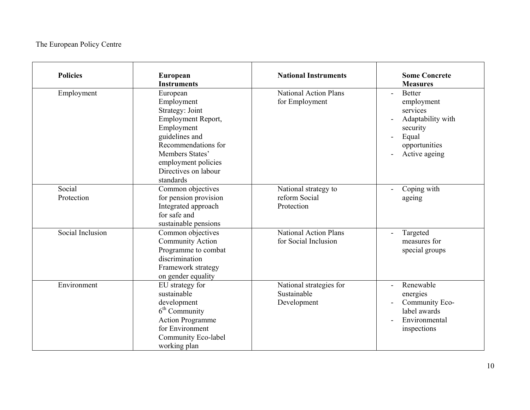| <b>Policies</b>      | European<br><b>Instruments</b>                                                                                                                                                                        | <b>National Instruments</b>                           | <b>Some Concrete</b><br><b>Measures</b>                                                                             |
|----------------------|-------------------------------------------------------------------------------------------------------------------------------------------------------------------------------------------------------|-------------------------------------------------------|---------------------------------------------------------------------------------------------------------------------|
| Employment           | European<br>Employment<br>Strategy: Joint<br>Employment Report,<br>Employment<br>guidelines and<br>Recommendations for<br>Members States'<br>employment policies<br>Directives on labour<br>standards | <b>National Action Plans</b><br>for Employment        | <b>Better</b><br>employment<br>services<br>Adaptability with<br>security<br>Equal<br>opportunities<br>Active ageing |
| Social<br>Protection | Common objectives<br>for pension provision<br>Integrated approach<br>for safe and<br>sustainable pensions                                                                                             | National strategy to<br>reform Social<br>Protection   | Coping with<br>ageing                                                                                               |
| Social Inclusion     | Common objectives<br><b>Community Action</b><br>Programme to combat<br>discrimination<br>Framework strategy<br>on gender equality                                                                     | <b>National Action Plans</b><br>for Social Inclusion  | Targeted<br>measures for<br>special groups                                                                          |
| Environment          | EU strategy for<br>sustainable<br>development<br>$6th$ Community<br><b>Action Programme</b><br>for Environment<br>Community Eco-label<br>working plan                                                 | National strategies for<br>Sustainable<br>Development | Renewable<br>energies<br>Community Eco-<br>label awards<br>Environmental<br>inspections                             |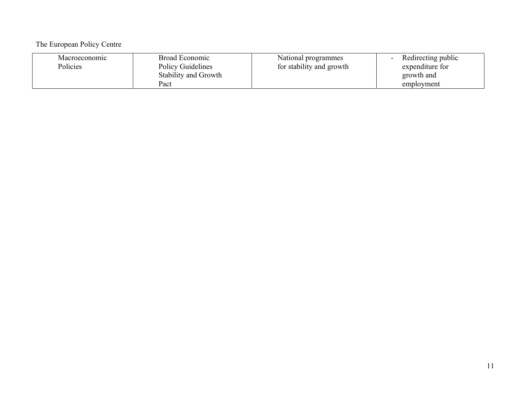| Macroeconomic<br>Policies | Broad Economic<br><b>Policy Guidelines</b> | National programmes<br>for stability and growth | Redirecting public<br>expenditure for |
|---------------------------|--------------------------------------------|-------------------------------------------------|---------------------------------------|
|                           | Stability and Growth                       |                                                 | growth and                            |
|                           | Pact                                       |                                                 | employment                            |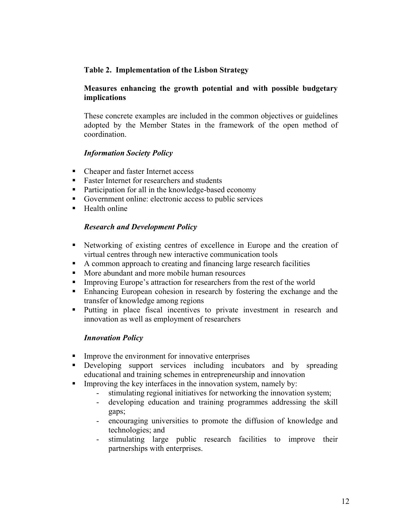### **Table 2. Implementation of the Lisbon Strategy**

#### **Measures enhancing the growth potential and with possible budgetary implications**

These concrete examples are included in the common objectives or guidelines adopted by the Member States in the framework of the open method of coordination.

#### *Information Society Policy*

- Cheaper and faster Internet access
- Faster Internet for researchers and students
- Participation for all in the knowledge-based economy
- Government online: electronic access to public services
- $H$ ealth online

#### *Research and Development Policy*

- Networking of existing centres of excellence in Europe and the creation of virtual centres through new interactive communication tools
- A common approach to creating and financing large research facilities
- More abundant and more mobile human resources
- Improving Europe's attraction for researchers from the rest of the world
- Enhancing European cohesion in research by fostering the exchange and the transfer of knowledge among regions
- Putting in place fiscal incentives to private investment in research and innovation as well as employment of researchers

#### *Innovation Policy*

- **IMPROVE the environment for innovative enterprises**
- Developing support services including incubators and by spreading educational and training schemes in entrepreneurship and innovation
- Improving the key interfaces in the innovation system, namely by:
	- stimulating regional initiatives for networking the innovation system;
	- developing education and training programmes addressing the skill gaps;
	- encouraging universities to promote the diffusion of knowledge and technologies; and
	- stimulating large public research facilities to improve their partnerships with enterprises.